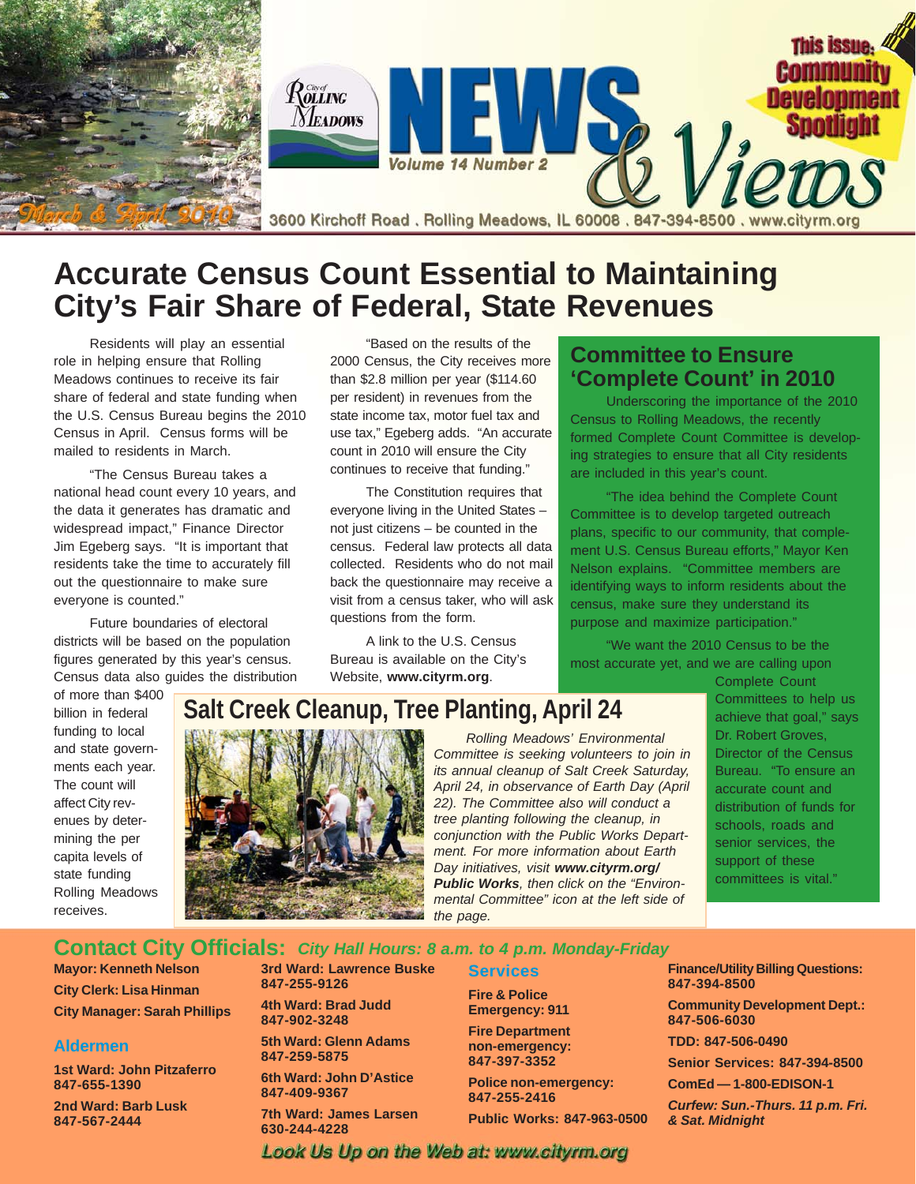

# **Accurate Census Count Essential to Maintaining City's Fair Share of Federal, State Revenues**

Residents will play an essential role in helping ensure that Rolling Meadows continues to receive its fair share of federal and state funding when the U.S. Census Bureau begins the 2010 Census in April. Census forms will be mailed to residents in March.

"The Census Bureau takes a national head count every 10 years, and the data it generates has dramatic and widespread impact," Finance Director Jim Egeberg says. "It is important that residents take the time to accurately fill out the questionnaire to make sure everyone is counted."

Future boundaries of electoral districts will be based on the population figures generated by this year's census. Census data also guides the distribution

"Based on the results of the 2000 Census, the City receives more than \$2.8 million per year (\$114.60 per resident) in revenues from the state income tax, motor fuel tax and use tax," Egeberg adds. "An accurate count in 2010 will ensure the City continues to receive that funding."

The Constitution requires that everyone living in the United States – not just citizens – be counted in the census. Federal law protects all data collected. Residents who do not mail back the questionnaire may receive a visit from a census taker, who will ask questions from the form.

A link to the U.S. Census Bureau is available on the City's Website, **www.cityrm.org**.

# **Committee to Ensure 'Complete Count' in 2010**

Underscoring the importance of the 2010 Census to Rolling Meadows, the recently formed Complete Count Committee is developing strategies to ensure that all City residents are included in this year's count.

"The idea behind the Complete Count Committee is to develop targeted outreach plans, specific to our community, that complement U.S. Census Bureau efforts," Mayor Ken Nelson explains. "Committee members are identifying ways to inform residents about the census, make sure they understand its purpose and maximize participation."

"We want the 2010 Census to be the most accurate yet, and we are calling upon

of more than \$400 billion in federal funding to local and state governments each year. The count will affect City revenues by determining the per capita levels of state funding Rolling Meadows receives.



*Rolling Meadows' Environmental Committee is seeking volunteers to join in its annual cleanup of Salt Creek Saturday, April 24, in observance of Earth Day (April 22). The Committee also will conduct a tree planting following the cleanup, in conjunction with the Public Works Department. For more information about Earth Day initiatives, visit www.cityrm.org/ Public Works, then click on the "Environmental Committee" icon at the left side of the page.*

Complete Count Committees to help us achieve that goal," says Dr. Robert Groves, Director of the Census Bureau. "To ensure an accurate count and distribution of funds for schools, roads and senior services, the support of these committees is vital."

### **Contact City Officials:** *City Hall Hours: 8 a.m. to 4 p.m. Monday-Friday*

**Mayor: Kenneth Nelson City Clerk: Lisa Hinman City Manager: Sarah Phillips**

#### **Aldermen**

**1st Ward: John Pitzaferro 847-655-1390**

**2nd Ward: Barb Lusk 847-567-2444**

**3rd Ward: Lawrence Buske 847-255-9126**

**4th Ward: Brad Judd 847-902-3248**

**5th Ward: Glenn Adams 847-259-5875**

**6th Ward: John D'Astice 847-409-9367**

**7th Ward: James Larsen 630-244-4228**

### **Services**

**Fire & Police Emergency: 911**

**Fire Department non-emergency: 847-397-3352**

**Police non-emergency: 847-255-2416**

**Public Works: 847-963-0500**

**Finance/Utility Billing Questions: 847-394-8500**

**Community Development Dept.: 847-506-6030**

**TDD: 847-506-0490**

**Senior Services: 847-394-8500**

**ComEd — 1-800-EDISON-1**

*Curfew: Sun.-Thurs. 11 p.m. Fri. & Sat. Midnight*

Look Us Up on the Web at: www.cityrm.org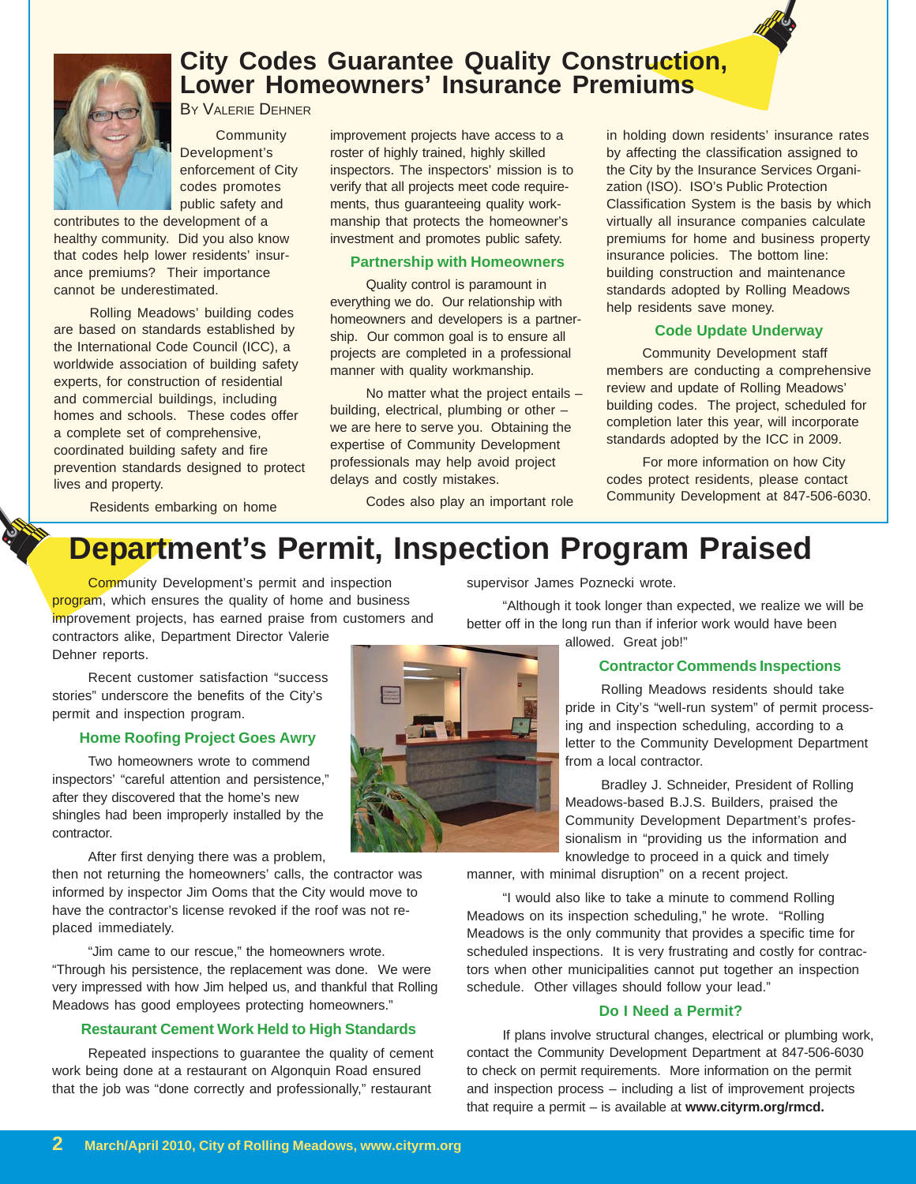

# **City Codes Guarantee Quality Construction, Lower Homeowners' Insurance Premiums**

BY VALERIE DEHNER

**Community** Development's enforcement of City codes promotes public safety and

contributes to the development of a healthy community. Did you also know that codes help lower residents' insurance premiums? Their importance cannot be underestimated.

Rolling Meadows' building codes are based on standards established by the International Code Council (ICC), a worldwide association of building safety experts, for construction of residential and commercial buildings, including homes and schools. These codes offer a complete set of comprehensive, coordinated building safety and fire prevention standards designed to protect lives and property.

improvement projects have access to a roster of highly trained, highly skilled inspectors. The inspectors' mission is to verify that all projects meet code requirements, thus guaranteeing quality workmanship that protects the homeowner's investment and promotes public safety.

#### **Partnership with Homeowners**

Quality control is paramount in everything we do. Our relationship with homeowners and developers is a partnership. Our common goal is to ensure all projects are completed in a professional manner with quality workmanship.

No matter what the project entails – building, electrical, plumbing or other – we are here to serve you. Obtaining the expertise of Community Development professionals may help avoid project delays and costly mistakes.

Codes also play an important role

in holding down residents' insurance rates by affecting the classification assigned to the City by the Insurance Services Organization (ISO). ISO's Public Protection Classification System is the basis by which virtually all insurance companies calculate premiums for home and business property insurance policies. The bottom line: building construction and maintenance standards adopted by Rolling Meadows help residents save money.

#### **Code Update Underway**

Community Development staff members are conducting a comprehensive review and update of Rolling Meadows' building codes. The project, scheduled for completion later this year, will incorporate standards adopted by the ICC in 2009.

For more information on how City codes protect residents, please contact Community Development at 847-506-6030.

Residents embarking on home

# **Department's Permit, Inspection Program Praised**

Community Development's permit and inspection program, which ensures the quality of home and business improvement projects, has earned praise from customers and contractors alike, Department Director Valerie

Dehner reports.

Recent customer satisfaction "success stories" underscore the benefits of the City's permit and inspection program.

#### **Home Roofing Project Goes Awry**

Two homeowners wrote to commend inspectors' "careful attention and persistence," after they discovered that the home's new shingles had been improperly installed by the contractor.

After first denying there was a problem,

then not returning the homeowners' calls, the contractor was informed by inspector Jim Ooms that the City would move to have the contractor's license revoked if the roof was not replaced immediately.

"Jim came to our rescue," the homeowners wrote. "Through his persistence, the replacement was done. We were very impressed with how Jim helped us, and thankful that Rolling Meadows has good employees protecting homeowners."

#### **Restaurant Cement Work Held to High Standards**

Repeated inspections to guarantee the quality of cement work being done at a restaurant on Algonquin Road ensured that the job was "done correctly and professionally," restaurant



supervisor James Poznecki wrote.

"Although it took longer than expected, we realize we will be better off in the long run than if inferior work would have been

# allowed. Great job!"

#### **Contractor Commends Inspections**

Rolling Meadows residents should take pride in City's "well-run system" of permit processing and inspection scheduling, according to a letter to the Community Development Department from a local contractor.

Bradley J. Schneider, President of Rolling Meadows-based B.J.S. Builders, praised the Community Development Department's professionalism in "providing us the information and knowledge to proceed in a quick and timely

manner, with minimal disruption" on a recent project.

"I would also like to take a minute to commend Rolling Meadows on its inspection scheduling," he wrote. "Rolling Meadows is the only community that provides a specific time for scheduled inspections. It is very frustrating and costly for contractors when other municipalities cannot put together an inspection schedule. Other villages should follow your lead."

#### **Do I Need a Permit?**

If plans involve structural changes, electrical or plumbing work, contact the Community Development Department at 847-506-6030 to check on permit requirements. More information on the permit and inspection process – including a list of improvement projects that require a permit – is available at **www.cityrm.org/rmcd.**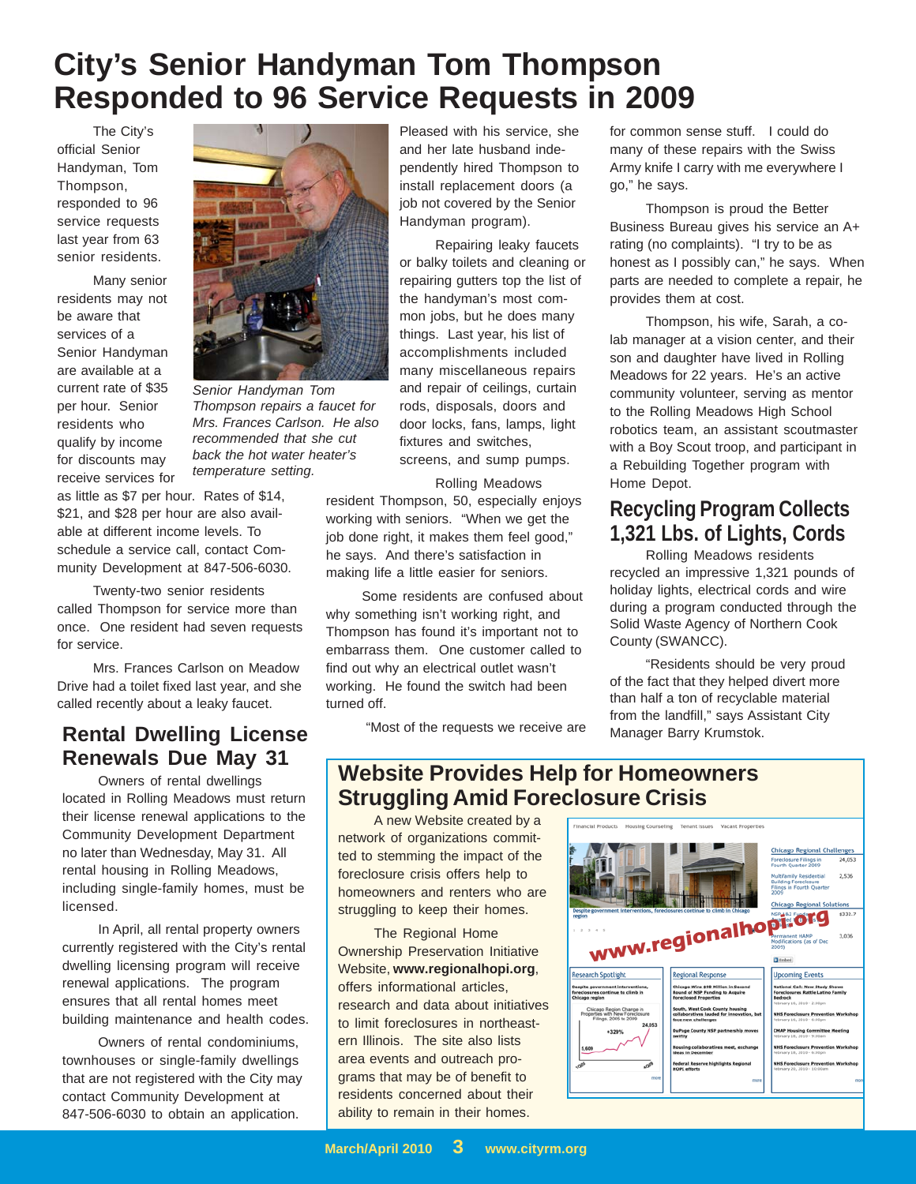# **City's Senior Handyman Tom Thompson Responded to 96 Service Requests in 2009**

The City's official Senior Handyman, Tom Thompson, responded to 96 service requests last year from 63 senior residents.

Many senior residents may not be aware that services of a Senior Handyman are available at a current rate of \$35 per hour. Senior residents who qualify by income for discounts may receive services for

as little as \$7 per hour. Rates of \$14, \$21, and \$28 per hour are also available at different income levels. To schedule a service call, contact Community Development at 847-506-6030.

Twenty-two senior residents called Thompson for service more than once. One resident had seven requests for service.

Mrs. Frances Carlson on Meadow Drive had a toilet fixed last year, and she called recently about a leaky faucet.

# **Rental Dwelling License Renewals Due May 31**

Owners of rental dwellings located in Rolling Meadows must return their license renewal applications to the Community Development Department no later than Wednesday, May 31. All rental housing in Rolling Meadows, including single-family homes, must be licensed.

In April, all rental property owners currently registered with the City's rental dwelling licensing program will receive renewal applications. The program ensures that all rental homes meet building maintenance and health codes.

Owners of rental condominiums, townhouses or single-family dwellings that are not registered with the City may contact Community Development at 847-506-6030 to obtain an application.

Pleased with his service, she and her late husband independently hired Thompson to install replacement doors (a job not covered by the Senior Handyman program).

Repairing leaky faucets or balky toilets and cleaning or repairing gutters top the list of the handyman's most common jobs, but he does many things. Last year, his list of accomplishments included many miscellaneous repairs and repair of ceilings, curtain rods, disposals, doors and door locks, fans, lamps, light fixtures and switches, screens, and sump pumps.

Rolling Meadows resident Thompson, 50, especially enjoys working with seniors. "When we get the job done right, it makes them feel good," he says. And there's satisfaction in making life a little easier for seniors.

Some residents are confused about why something isn't working right, and Thompson has found it's important not to embarrass them. One customer called to find out why an electrical outlet wasn't working. He found the switch had been turned off.

"Most of the requests we receive are

for common sense stuff. I could do many of these repairs with the Swiss Army knife I carry with me everywhere I go," he says.

Thompson is proud the Better Business Bureau gives his service an A+ rating (no complaints). "I try to be as honest as I possibly can," he says. When parts are needed to complete a repair, he provides them at cost.

Thompson, his wife, Sarah, a colab manager at a vision center, and their son and daughter have lived in Rolling Meadows for 22 years. He's an active community volunteer, serving as mentor to the Rolling Meadows High School robotics team, an assistant scoutmaster with a Boy Scout troop, and participant in a Rebuilding Together program with Home Depot.

# **Recycling Program Collects 1,321 Lbs. of Lights, Cords**

Rolling Meadows residents recycled an impressive 1,321 pounds of holiday lights, electrical cords and wire during a program conducted through the Solid Waste Agency of Northern Cook County (SWANCC).

"Residents should be very proud of the fact that they helped divert more than half a ton of recyclable material from the landfill," says Assistant City Manager Barry Krumstok.

## **Website Provides Help for Homeowners Struggling Amid Foreclosure Crisis**

A new Website created by a network of organizations committed to stemming the impact of the foreclosure crisis offers help to homeowners and renters who are struggling to keep their homes.

The Regional Home Ownership Preservation Initiative Website, **www.regionalhopi.org**, offers informational articles, research and data about initiatives to limit foreclosures in northeastern Illinois. The site also lists area events and outreach programs that may be of benefit to residents concerned about their ability to remain in their homes.





*Senior Handyman Tom Thompson repairs a faucet for Mrs. Frances Carlson. He also recommended that she cut back the hot water heater's temperature setting.*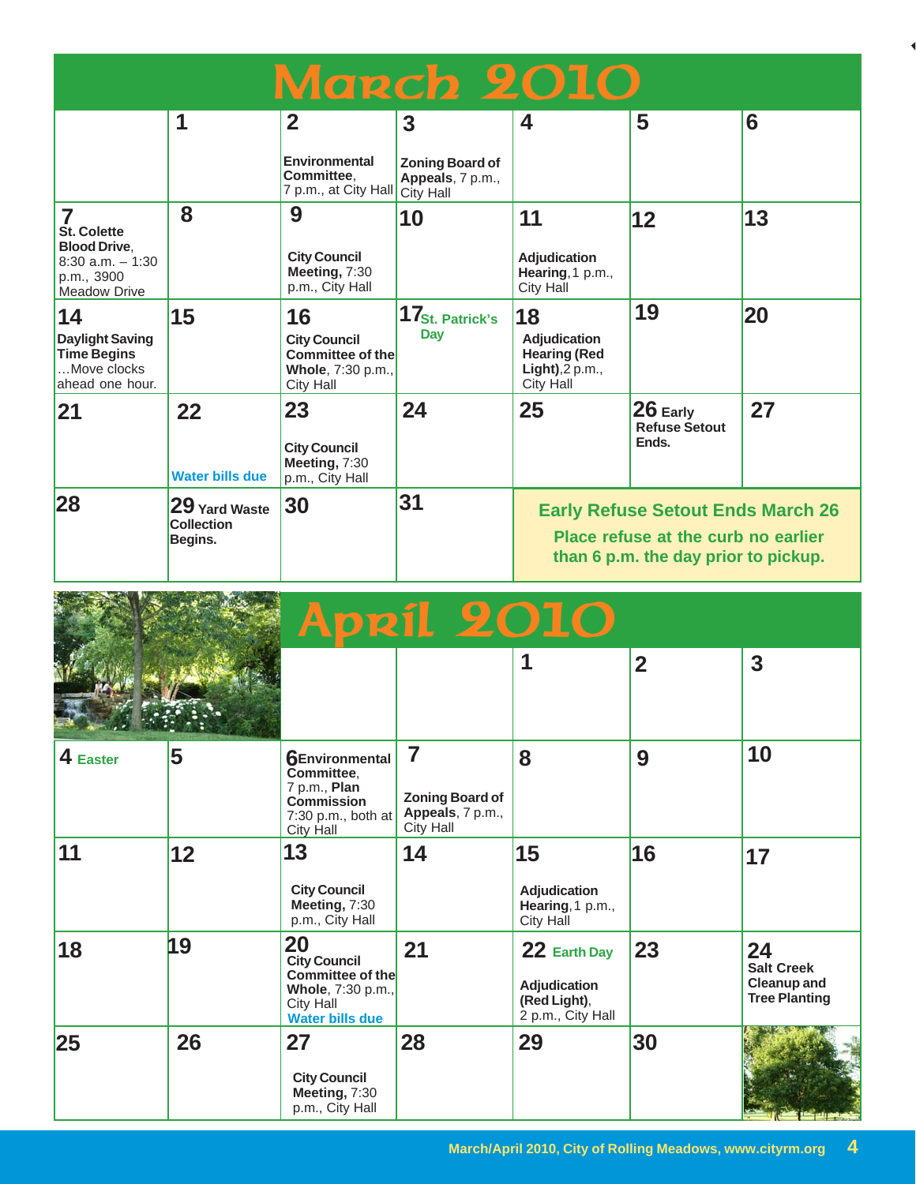| March 2010                                                                                                 |                                               |                                                                                        |                                                                |                                                                                                                         |                                             |    |  |  |
|------------------------------------------------------------------------------------------------------------|-----------------------------------------------|----------------------------------------------------------------------------------------|----------------------------------------------------------------|-------------------------------------------------------------------------------------------------------------------------|---------------------------------------------|----|--|--|
|                                                                                                            | 1                                             | $\mathbf{2}$<br><b>Environmental</b>                                                   | 3                                                              | 4                                                                                                                       | 5                                           | 6  |  |  |
|                                                                                                            |                                               | Committee.<br>7 p.m., at City Hall                                                     | <b>Zoning Board of</b><br>Appeals, 7 p.m.,<br><b>City Hall</b> |                                                                                                                         |                                             |    |  |  |
| 7<br><b>St. Colette</b><br><b>Blood Drive,</b><br>$8:30$ a.m. $-1:30$<br>p.m., 3900<br><b>Meadow Drive</b> | 8                                             | 9<br><b>City Council</b><br>Meeting, 7:30<br>p.m., City Hall                           | 10                                                             | 11<br>Adjudication<br>Hearing, 1 p.m.,<br>City Hall                                                                     | 12                                          | 13 |  |  |
| 14<br><b>Daylight Saving</b><br><b>Time Begins</b><br>Move clocks<br>ahead one hour.                       | 15                                            | 16<br><b>City Council</b><br>Committee of the<br>Whole, 7:30 p.m.,<br><b>City Hall</b> | 17 <sub>St. Patrick's</sub><br>Day                             | 18<br><b>Adjudication</b><br><b>Hearing (Red</b><br>$Light$ , 2 p.m.,<br><b>City Hall</b>                               | 19                                          | 20 |  |  |
| 21                                                                                                         | 22<br><b>Water bills due</b>                  | 23<br><b>City Council</b><br>Meeting, 7:30<br>p.m., City Hall                          | 24                                                             | 25                                                                                                                      | $26$ Early<br><b>Refuse Setout</b><br>Ends. | 27 |  |  |
| 28                                                                                                         | 29 Yard Waste<br><b>Collection</b><br>Begins. | 30                                                                                     | 31                                                             | <b>Early Refuse Setout Ends March 26</b><br>Place refuse at the curb no earlier<br>than 6 p.m. the day prior to pickup. |                                             |    |  |  |

|           |    | <b>April 2010</b>                                                                                                       |                                                                     |                                                                   |                |                                                                       |
|-----------|----|-------------------------------------------------------------------------------------------------------------------------|---------------------------------------------------------------------|-------------------------------------------------------------------|----------------|-----------------------------------------------------------------------|
|           |    |                                                                                                                         |                                                                     | 1                                                                 | $\overline{2}$ | 3                                                                     |
| 4 Easter  | 5  | <b>6Environmental</b><br>Committee,<br>7 p.m., Plan<br><b>Commission</b><br>7:30 p.m., both at<br><b>City Hall</b>      | 7<br><b>Zoning Board of</b><br>Appeals, 7 p.m.,<br><b>City Hall</b> | 8                                                                 | 9              | 10                                                                    |
| 11        | 12 | 13<br><b>City Council</b><br>Meeting, 7:30<br>p.m., City Hall                                                           | 14                                                                  | 15<br>Adjudication<br>Hearing, 1 p.m.,<br>City Hall               | 16             | 17                                                                    |
| 18        | 19 | <b>20</b><br><b>City Council</b><br>Committee of the<br>Whole, 7:30 p.m.,<br><b>City Hall</b><br><b>Water bills due</b> | 21                                                                  | 22 Earth Day<br>Adjudication<br>(Red Light),<br>2 p.m., City Hall | 23             | 24<br><b>Salt Creek</b><br><b>Cleanup and</b><br><b>Tree Planting</b> |
| <b>25</b> | 26 | 27<br><b>City Council</b><br>Meeting, 7:30<br>p.m., City Hall                                                           | 28                                                                  | 29                                                                | 30             |                                                                       |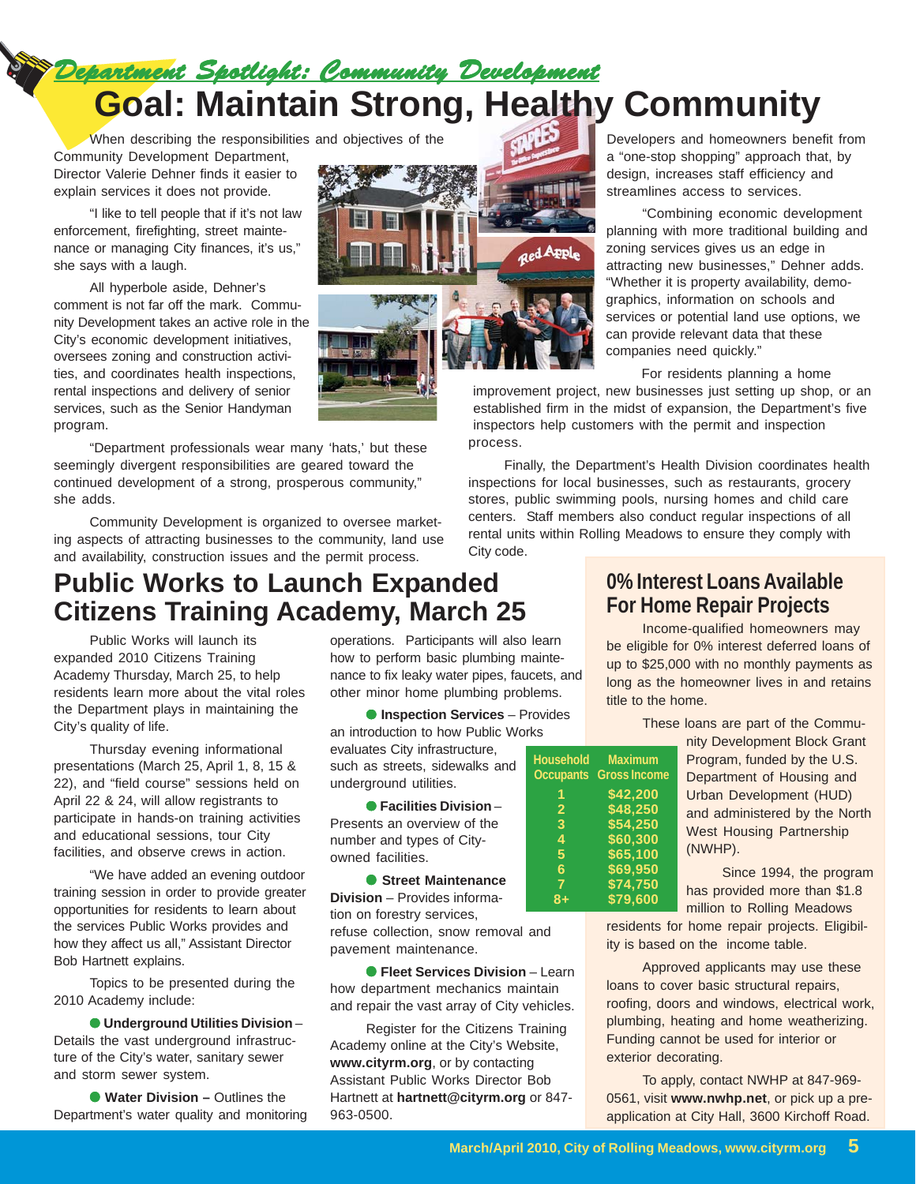*Department Spotlight: Community Development tment Spotlight: Community Development tment Spotlight: Community Development* **Goal: Maintain Strong, Healthy Community**

When describing the responsibilities and objectives of the Community Development Department, Director Valerie Dehner finds it easier to explain services it does not provide.

"I like to tell people that if it's not law enforcement, firefighting, street maintenance or managing City finances, it's us," she says with a laugh.

All hyperbole aside, Dehner's comment is not far off the mark. Community Development takes an active role in the City's economic development initiatives, oversees zoning and construction activities, and coordinates health inspections, rental inspections and delivery of senior services, such as the Senior Handyman program.

"Department professionals wear many 'hats,' but these seemingly divergent responsibilities are geared toward the continued development of a strong, prosperous community," she adds.

Community Development is organized to oversee marketing aspects of attracting businesses to the community, land use and availability, construction issues and the permit process.

# **Public Works to Launch Expanded Citizens Training Academy, March 25**

Public Works will launch its expanded 2010 Citizens Training Academy Thursday, March 25, to help residents learn more about the vital roles the Department plays in maintaining the City's quality of life.

Thursday evening informational presentations (March 25, April 1, 8, 15 & 22), and "field course" sessions held on April 22 & 24, will allow registrants to participate in hands-on training activities and educational sessions, tour City facilities, and observe crews in action.

"We have added an evening outdoor training session in order to provide greater opportunities for residents to learn about the services Public Works provides and how they affect us all," Assistant Director Bob Hartnett explains.

Topics to be presented during the 2010 Academy include:

● **Underground Utilities Division** – Details the vast underground infrastructure of the City's water, sanitary sewer and storm sewer system.

● **Water Division – Outlines the** Department's water quality and monitoring operations. Participants will also learn how to perform basic plumbing maintenance to fix leaky water pipes, faucets, and other minor home plumbing problems.

● **Inspection Services** – Provides an introduction to how Public Works evaluates City infrastructure, such as streets, sidewalks and underground utilities.

● **Facilities Division** – Presents an overview of the number and types of Cityowned facilities.

● **Street Maintenance Division** – Provides information on forestry services, refuse collection, snow removal and pavement maintenance.

● **Fleet Services Division** – Learn how department mechanics maintain and repair the vast array of City vehicles.

Register for the Citizens Training Academy online at the City's Website, **www.cityrm.org**, or by contacting Assistant Public Works Director Bob Hartnett at **hartnett@cityrm.org** or 847- 963-0500.

Developers and homeowners benefit from a "one-stop shopping" approach that, by design, increases staff efficiency and streamlines access to services.

"Combining economic development planning with more traditional building and zoning services gives us an edge in attracting new businesses," Dehner adds. "Whether it is property availability, demographics, information on schools and services or potential land use options, we can provide relevant data that these companies need quickly."

For residents planning a home

improvement project, new businesses just setting up shop, or an established firm in the midst of expansion, the Department's five inspectors help customers with the permit and inspection process.

Finally, the Department's Health Division coordinates health inspections for local businesses, such as restaurants, grocery stores, public swimming pools, nursing homes and child care centers. Staff members also conduct regular inspections of all rental units within Rolling Meadows to ensure they comply with City code.

## **0% Interest Loans Available For Home Repair Projects**

Income-qualified homeowners may be eligible for 0% interest deferred loans of up to \$25,000 with no monthly payments as long as the homeowner lives in and retains title to the home.

These loans are part of the Commu-

|                |                               | nity |
|----------------|-------------------------------|------|
|                | Household Maximum             | Prc  |
|                | <b>Occupants</b> Gross Income | De   |
| 1              | \$42,200                      | Urb  |
| $\overline{2}$ | \$48,250                      | and  |
| 3              | \$54,250                      | We   |
| 4              | \$60,300                      | (N)  |
| 5              | \$65,100                      |      |
| 6              | \$69,950                      |      |
| $\overline{7}$ | \$74,750                      | has  |
| $8+$           | \$79,600                      |      |
|                |                               | mill |

Development Block Grant gram, funded by the U.S. partment of Housing and an Development (HUD) d administered by the North st Housing Partnership (WHP).

Since 1994, the program provided more than \$1.8 million to Rolling Meadows

residents for home repair projects. Eligibility is based on the income table.

Approved applicants may use these loans to cover basic structural repairs, roofing, doors and windows, electrical work, plumbing, heating and home weatherizing. Funding cannot be used for interior or exterior decorating.

To apply, contact NWHP at 847-969- 0561, visit **www.nwhp.net**, or pick up a preapplication at City Hall, 3600 Kirchoff Road.